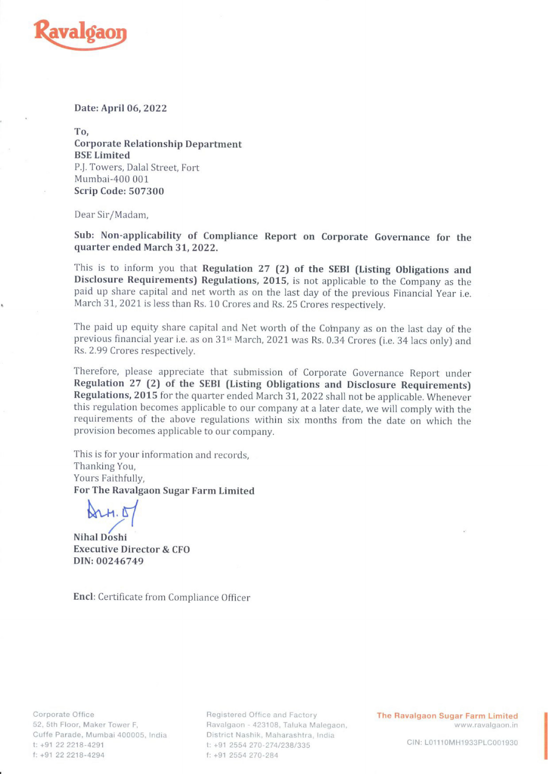

Date: April 06, 2022

To, Corporate Relationship Department BSE Limited P.J. Towers, Dalal Street, Fort Mumbai-400 001 Scrip Code: 507300

Dear Sir/Madam,

Sub: Non-applicability of Compliance Report on Corporate Governance for the quarter ended March 31, 2022.

This is to inform you that Regulation 27 (2) of the SEBI (Listing Obligations and Disclosure Requirements) Regulations, 2015, is not applicable to the Company as the paid up share capital and net worth as on the last day o March 31, 2021 is less than Rs. 10 Crores and Rs. 25 Crores respectively.

The paid up equity share capital and Net worth of the Company as on the last day of the previous financial year i.e. as on  $31$ <sup>st</sup> March, 2021 was Rs. 0.34 Crores (i.e. 34 lacs only) and Rs. 2.99 Crores respectively.

Therefore, please appreciate that submission of Corporate Governance Report under Regulation 27 (2) of the SEBI (Listing Obligations and Disclosure Requirements) Regulations, 2015 for the quarter ended March 31, 2022 shall not be applicable. Whenever this regulation becomes applicable to our company at a later date, we will comply with the requirements of the above regulations within six months from the date on which the provision becomes applicable to our company.

This is for your information and records, Thanking You, Yours Faithfully, For The Ravalgaon Sugar Farm Limited

**Nihal Doshi** Executive Director & CFO DIN: 00246749

Encl: Certificate from Compliance Officer

f: +91 22 2218-4294 f: +91 2554 270-284

Corporate Office **Registered Office and Factory The Ravalgaon Sugar Farm Limited** o2, Sth Floor, Maker Tower F, Ravalgaon - 423108, Taluka Malegaon, www.ravalgaon.in Cuffe Parade, Mumbai 400005, India District Nashik, Maharashtra, India ; t: +91 22 2218-4291 t: +91 2554 270-274/238/335 GIN: LO1110MH1933PLC001930